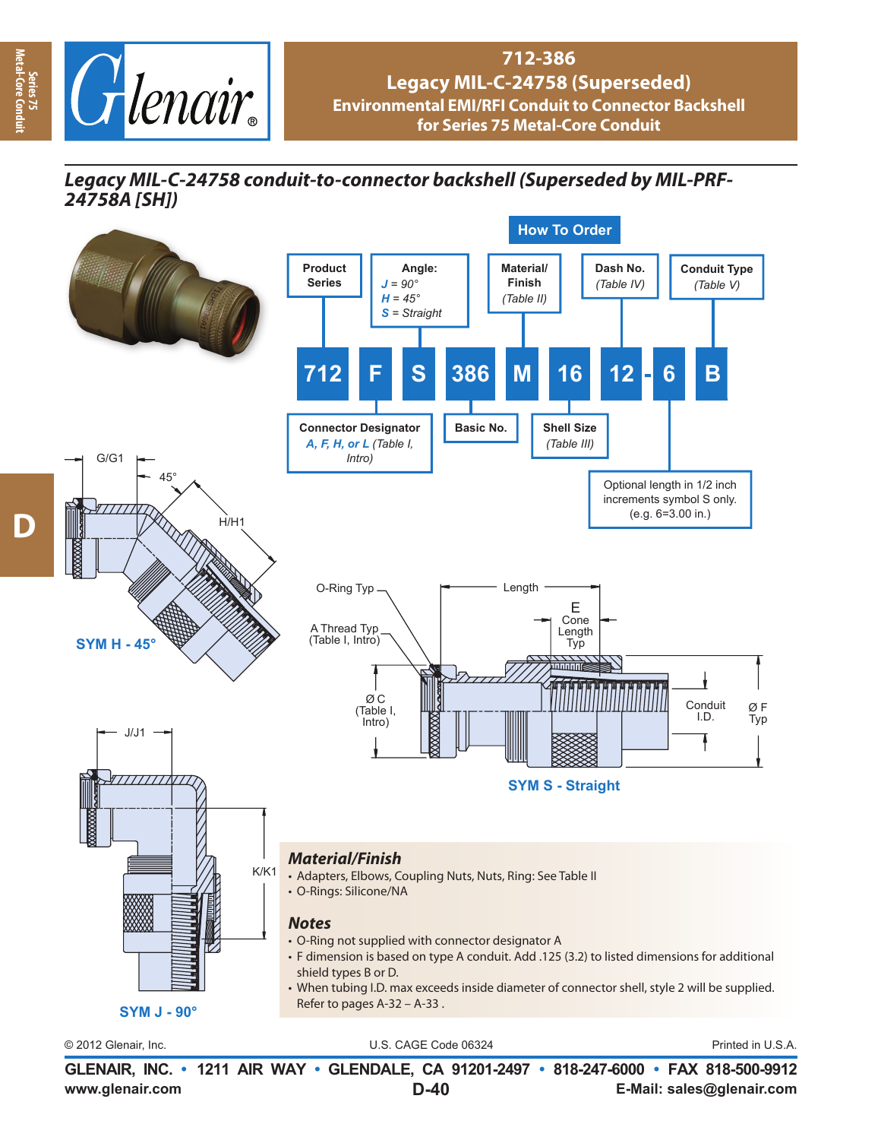

## **712-386 Legacy MIL-C-24758 (Superseded) Environmental EMI/RFI Conduit to Connector Backshell for Series 75 Metal-Core Conduit**

*Legacy MIL-C-24758 conduit-to-connector backshell (Superseded by MIL-PRF-24758A [SH])*



**www.glenair.com E-Mail: sales@glenair.com GLENAIR, INC. • 1211 AIR WAY • GLENDALE, CA 91201-2497 • 818-247-6000 • FAX 818-500-9912 D-40**

**Series 75 Metal-Core Conduit**

-Core Co